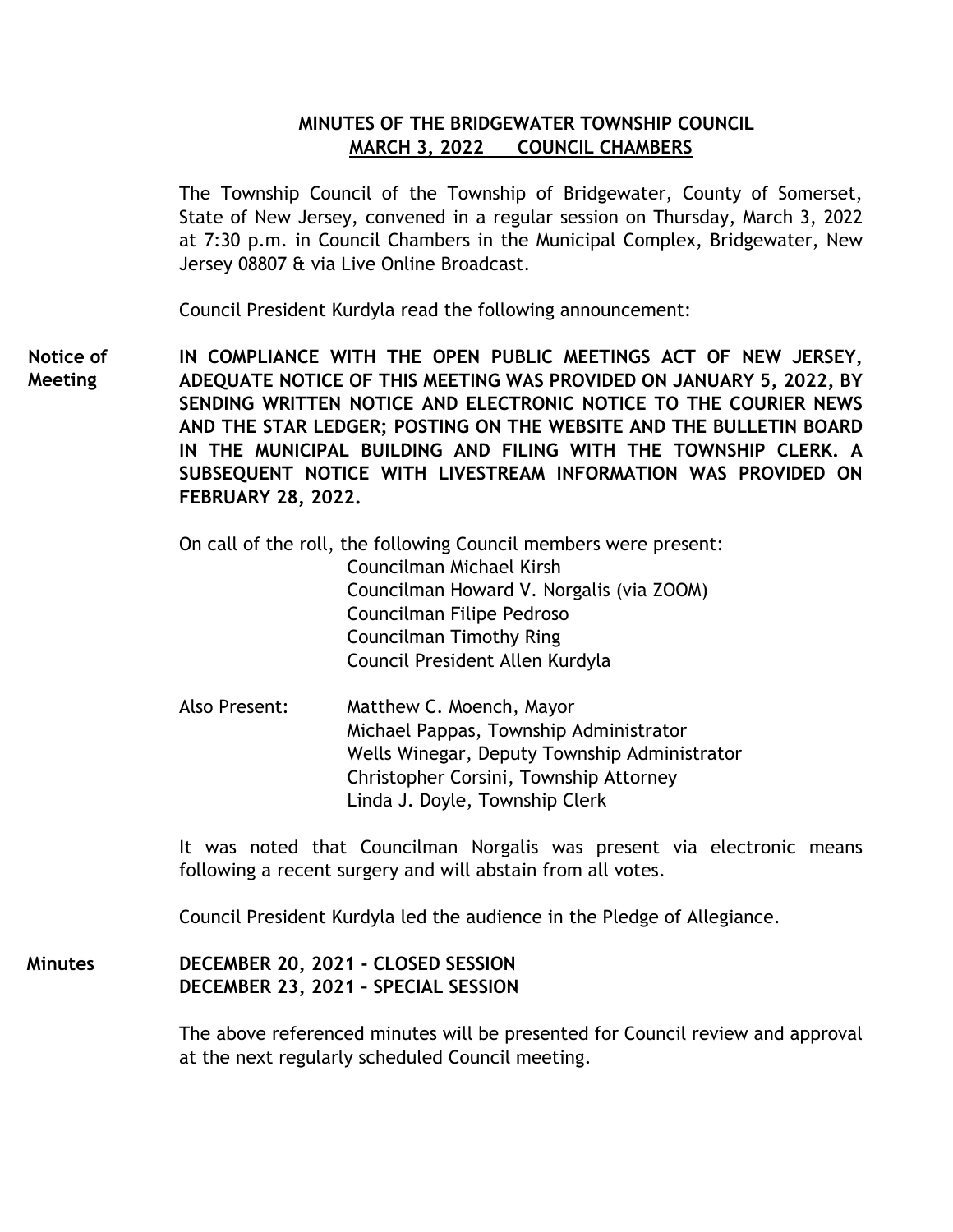## **MINUTES OF THE BRIDGEWATER TOWNSHIP COUNCIL MARCH 3, 2022 COUNCIL CHAMBERS**

The Township Council of the Township of Bridgewater, County of Somerset, State of New Jersey, convened in a regular session on Thursday, March 3, 2022 at 7:30 p.m. in Council Chambers in the Municipal Complex, Bridgewater, New Jersey 08807 & via Live Online Broadcast.

Council President Kurdyla read the following announcement:

**IN COMPLIANCE WITH THE OPEN PUBLIC MEETINGS ACT OF NEW JERSEY, ADEQUATE NOTICE OF THIS MEETING WAS PROVIDED ON JANUARY 5, 2022, BY SENDING WRITTEN NOTICE AND ELECTRONIC NOTICE TO THE COURIER NEWS AND THE STAR LEDGER; POSTING ON THE WEBSITE AND THE BULLETIN BOARD IN THE MUNICIPAL BUILDING AND FILING WITH THE TOWNSHIP CLERK. A SUBSEQUENT NOTICE WITH LIVESTREAM INFORMATION WAS PROVIDED ON FEBRUARY 28, 2022. Notice of Meeting**

> On call of the roll, the following Council members were present: Councilman Michael Kirsh Councilman Howard V. Norgalis (via ZOOM) Councilman Filipe Pedroso Councilman Timothy Ring Council President Allen Kurdyla

Also Present: Matthew C. Moench, Mayor Michael Pappas, Township Administrator Wells Winegar, Deputy Township Administrator Christopher Corsini, Township Attorney Linda J. Doyle, Township Clerk

It was noted that Councilman Norgalis was present via electronic means following a recent surgery and will abstain from all votes.

Council President Kurdyla led the audience in the Pledge of Allegiance.

**DECEMBER 20, 2021 - CLOSED SESSION DECEMBER 23, 2021 – SPECIAL SESSION Minutes**

> The above referenced minutes will be presented for Council review and approval at the next regularly scheduled Council meeting.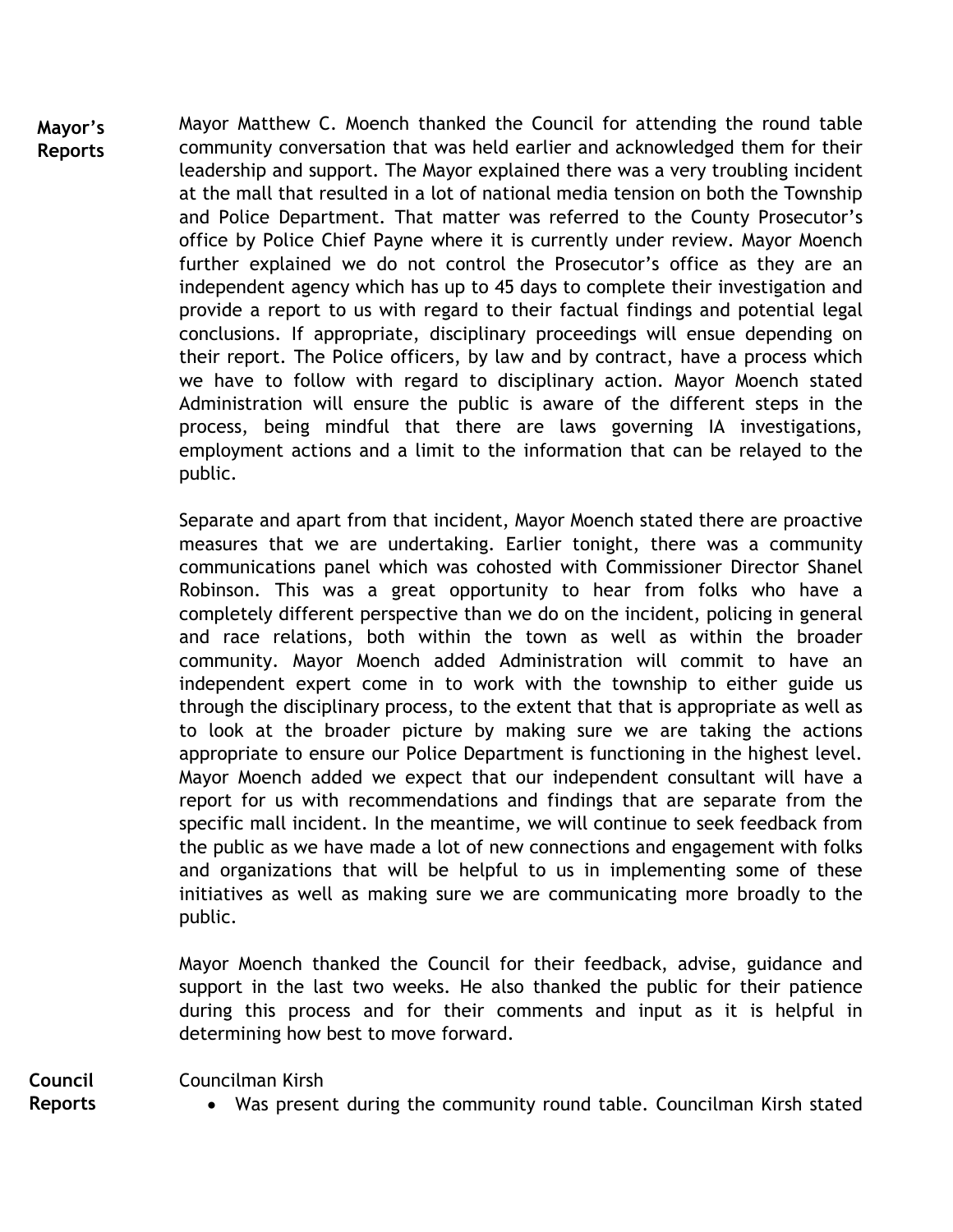Mayor Matthew C. Moench thanked the Council for attending the round table community conversation that was held earlier and acknowledged them for their leadership and support. The Mayor explained there was a very troubling incident at the mall that resulted in a lot of national media tension on both the Township and Police Department. That matter was referred to the County Prosecutor's office by Police Chief Payne where it is currently under review. Mayor Moench further explained we do not control the Prosecutor's office as they are an independent agency which has up to 45 days to complete their investigation and provide a report to us with regard to their factual findings and potential legal conclusions. If appropriate, disciplinary proceedings will ensue depending on their report. The Police officers, by law and by contract, have a process which we have to follow with regard to disciplinary action. Mayor Moench stated Administration will ensure the public is aware of the different steps in the process, being mindful that there are laws governing IA investigations, employment actions and a limit to the information that can be relayed to the public. **Mayor's Reports**

> Separate and apart from that incident, Mayor Moench stated there are proactive measures that we are undertaking. Earlier tonight, there was a community communications panel which was cohosted with Commissioner Director Shanel Robinson. This was a great opportunity to hear from folks who have a completely different perspective than we do on the incident, policing in general and race relations, both within the town as well as within the broader community. Mayor Moench added Administration will commit to have an independent expert come in to work with the township to either guide us through the disciplinary process, to the extent that that is appropriate as well as to look at the broader picture by making sure we are taking the actions appropriate to ensure our Police Department is functioning in the highest level. Mayor Moench added we expect that our independent consultant will have a report for us with recommendations and findings that are separate from the specific mall incident. In the meantime, we will continue to seek feedback from the public as we have made a lot of new connections and engagement with folks and organizations that will be helpful to us in implementing some of these initiatives as well as making sure we are communicating more broadly to the public.

> Mayor Moench thanked the Council for their feedback, advise, guidance and support in the last two weeks. He also thanked the public for their patience during this process and for their comments and input as it is helpful in determining how best to move forward.

Councilman Kirsh

**Council Reports**

Was present during the community round table. Councilman Kirsh stated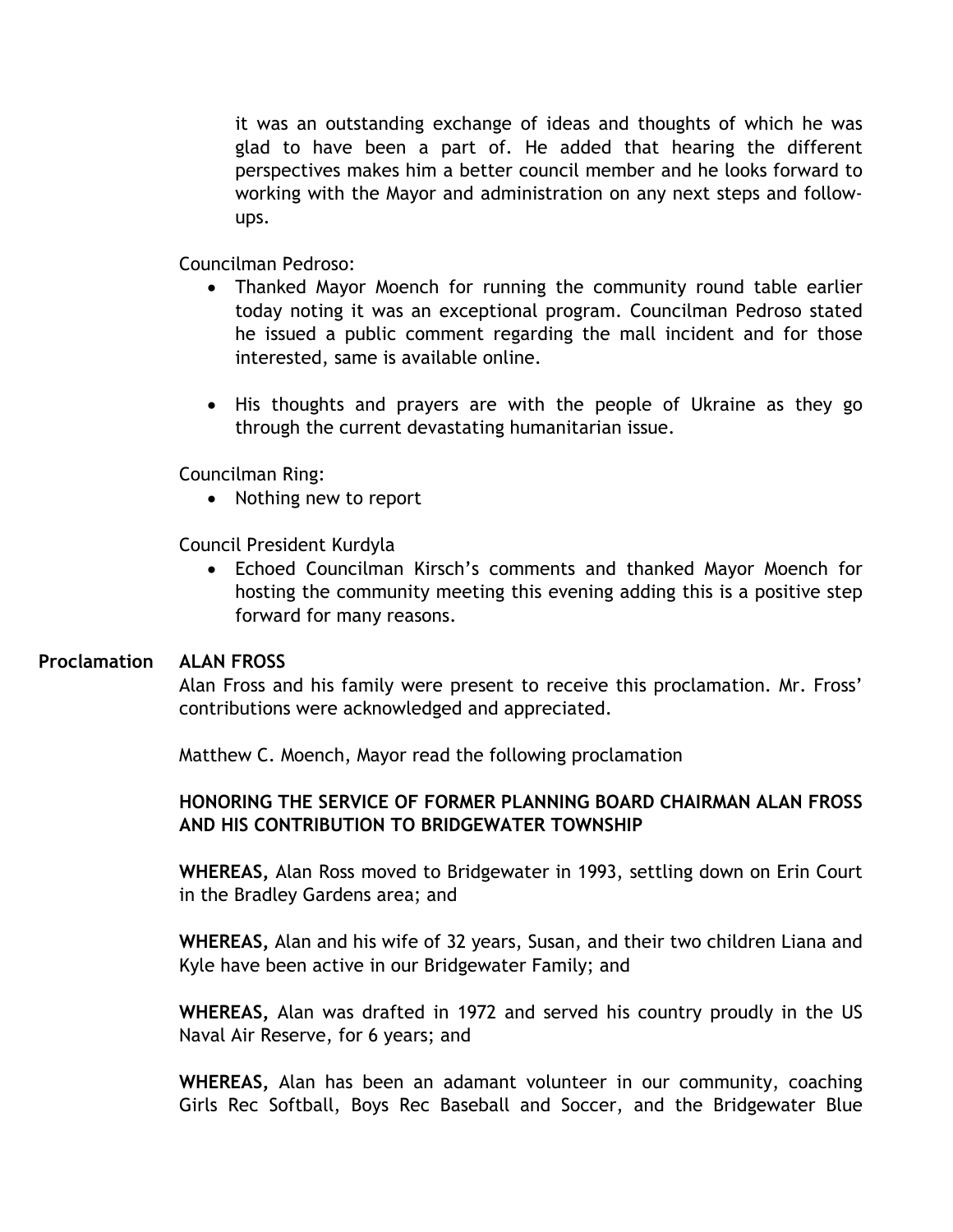it was an outstanding exchange of ideas and thoughts of which he was glad to have been a part of. He added that hearing the different perspectives makes him a better council member and he looks forward to working with the Mayor and administration on any next steps and followups.

Councilman Pedroso:

- Thanked Mayor Moench for running the community round table earlier today noting it was an exceptional program. Councilman Pedroso stated he issued a public comment regarding the mall incident and for those interested, same is available online.
- His thoughts and prayers are with the people of Ukraine as they go through the current devastating humanitarian issue.

Councilman Ring:

• Nothing new to report

Council President Kurdyla

 Echoed Councilman Kirsch's comments and thanked Mayor Moench for hosting the community meeting this evening adding this is a positive step forward for many reasons.

#### **ALAN FROSS Proclamation**

Alan Fross and his family were present to receive this proclamation. Mr. Fross' contributions were acknowledged and appreciated.

Matthew C. Moench, Mayor read the following proclamation

## **HONORING THE SERVICE OF FORMER PLANNING BOARD CHAIRMAN ALAN FROSS AND HIS CONTRIBUTION TO BRIDGEWATER TOWNSHIP**

**WHEREAS,** Alan Ross moved to Bridgewater in 1993, settling down on Erin Court in the Bradley Gardens area; and

**WHEREAS,** Alan and his wife of 32 years, Susan, and their two children Liana and Kyle have been active in our Bridgewater Family; and

**WHEREAS,** Alan was drafted in 1972 and served his country proudly in the US Naval Air Reserve, for 6 years; and

**WHEREAS,** Alan has been an adamant volunteer in our community, coaching Girls Rec Softball, Boys Rec Baseball and Soccer, and the Bridgewater Blue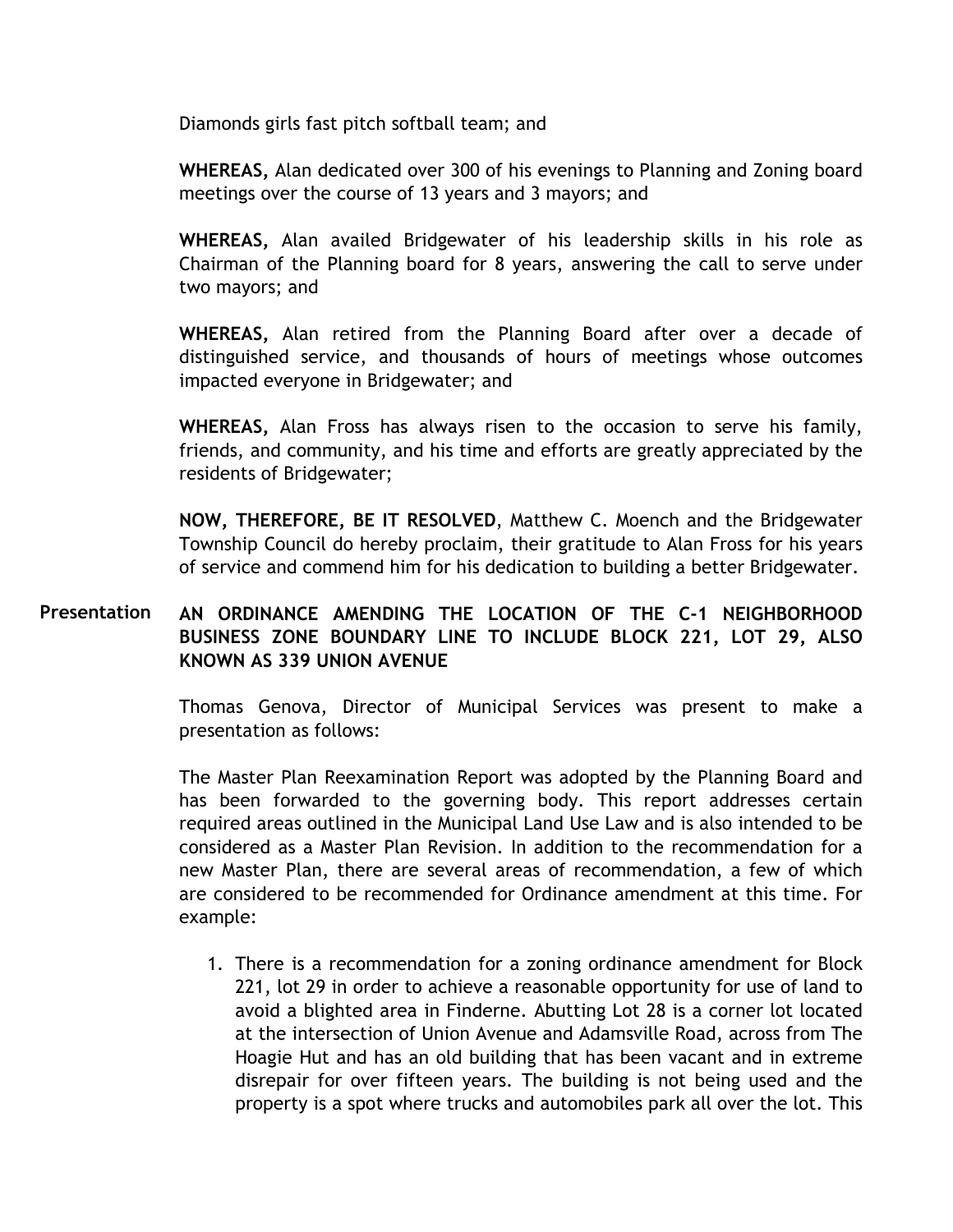Diamonds girls fast pitch softball team; and

**WHEREAS,** Alan dedicated over 300 of his evenings to Planning and Zoning board meetings over the course of 13 years and 3 mayors; and

**WHEREAS,** Alan availed Bridgewater of his leadership skills in his role as Chairman of the Planning board for 8 years, answering the call to serve under two mayors; and

**WHEREAS,** Alan retired from the Planning Board after over a decade of distinguished service, and thousands of hours of meetings whose outcomes impacted everyone in Bridgewater; and

**WHEREAS,** Alan Fross has always risen to the occasion to serve his family, friends, and community, and his time and efforts are greatly appreciated by the residents of Bridgewater;

**NOW, THEREFORE, BE IT RESOLVED**, Matthew C. Moench and the Bridgewater Township Council do hereby proclaim, their gratitude to Alan Fross for his years of service and commend him for his dedication to building a better Bridgewater.

#### **AN ORDINANCE AMENDING THE LOCATION OF THE C-1 NEIGHBORHOOD BUSINESS ZONE BOUNDARY LINE TO INCLUDE BLOCK 221, LOT 29, ALSO KNOWN AS 339 UNION AVENUE Presentation**

Thomas Genova, Director of Municipal Services was present to make a presentation as follows:

The Master Plan Reexamination Report was adopted by the Planning Board and has been forwarded to the governing body. This report addresses certain required areas outlined in the Municipal Land Use Law and is also intended to be considered as a Master Plan Revision. In addition to the recommendation for a new Master Plan, there are several areas of recommendation, a few of which are considered to be recommended for Ordinance amendment at this time. For example:

1. There is a recommendation for a zoning ordinance amendment for Block 221, lot 29 in order to achieve a reasonable opportunity for use of land to avoid a blighted area in Finderne. Abutting Lot 28 is a corner lot located at the intersection of Union Avenue and Adamsville Road, across from The Hoagie Hut and has an old building that has been vacant and in extreme disrepair for over fifteen years. The building is not being used and the property is a spot where trucks and automobiles park all over the lot. This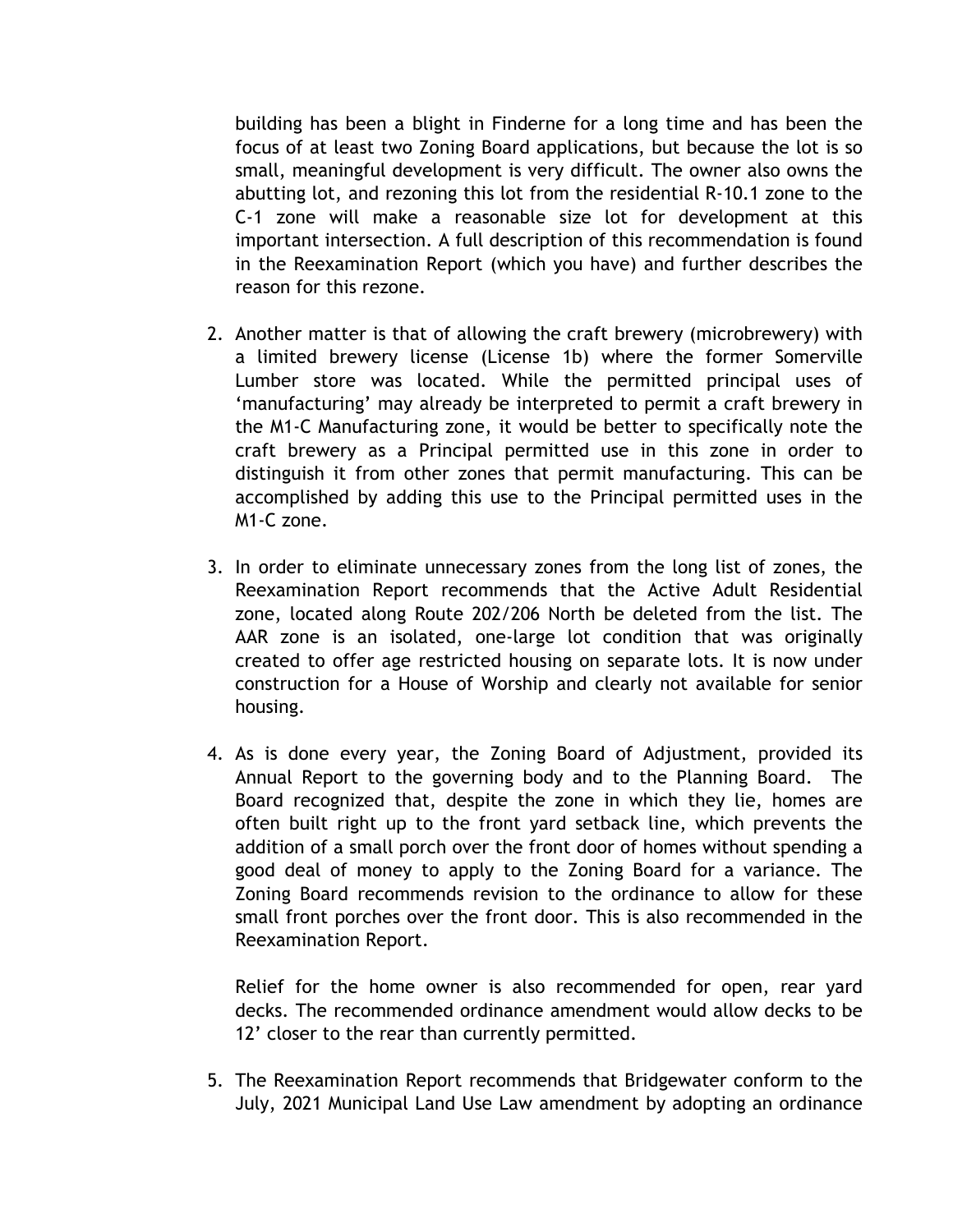building has been a blight in Finderne for a long time and has been the focus of at least two Zoning Board applications, but because the lot is so small, meaningful development is very difficult. The owner also owns the abutting lot, and rezoning this lot from the residential R-10.1 zone to the C-1 zone will make a reasonable size lot for development at this important intersection. A full description of this recommendation is found in the Reexamination Report (which you have) and further describes the reason for this rezone.

- 2. Another matter is that of allowing the craft brewery (microbrewery) with a limited brewery license (License 1b) where the former Somerville Lumber store was located. While the permitted principal uses of 'manufacturing' may already be interpreted to permit a craft brewery in the M1-C Manufacturing zone, it would be better to specifically note the craft brewery as a Principal permitted use in this zone in order to distinguish it from other zones that permit manufacturing. This can be accomplished by adding this use to the Principal permitted uses in the M1-C zone.
- 3. In order to eliminate unnecessary zones from the long list of zones, the Reexamination Report recommends that the Active Adult Residential zone, located along Route 202/206 North be deleted from the list. The AAR zone is an isolated, one-large lot condition that was originally created to offer age restricted housing on separate lots. It is now under construction for a House of Worship and clearly not available for senior housing.
- 4. As is done every year, the Zoning Board of Adjustment, provided its Annual Report to the governing body and to the Planning Board. The Board recognized that, despite the zone in which they lie, homes are often built right up to the front yard setback line, which prevents the addition of a small porch over the front door of homes without spending a good deal of money to apply to the Zoning Board for a variance. The Zoning Board recommends revision to the ordinance to allow for these small front porches over the front door. This is also recommended in the Reexamination Report.

Relief for the home owner is also recommended for open, rear yard decks. The recommended ordinance amendment would allow decks to be 12' closer to the rear than currently permitted.

5. The Reexamination Report recommends that Bridgewater conform to the July, 2021 Municipal Land Use Law amendment by adopting an ordinance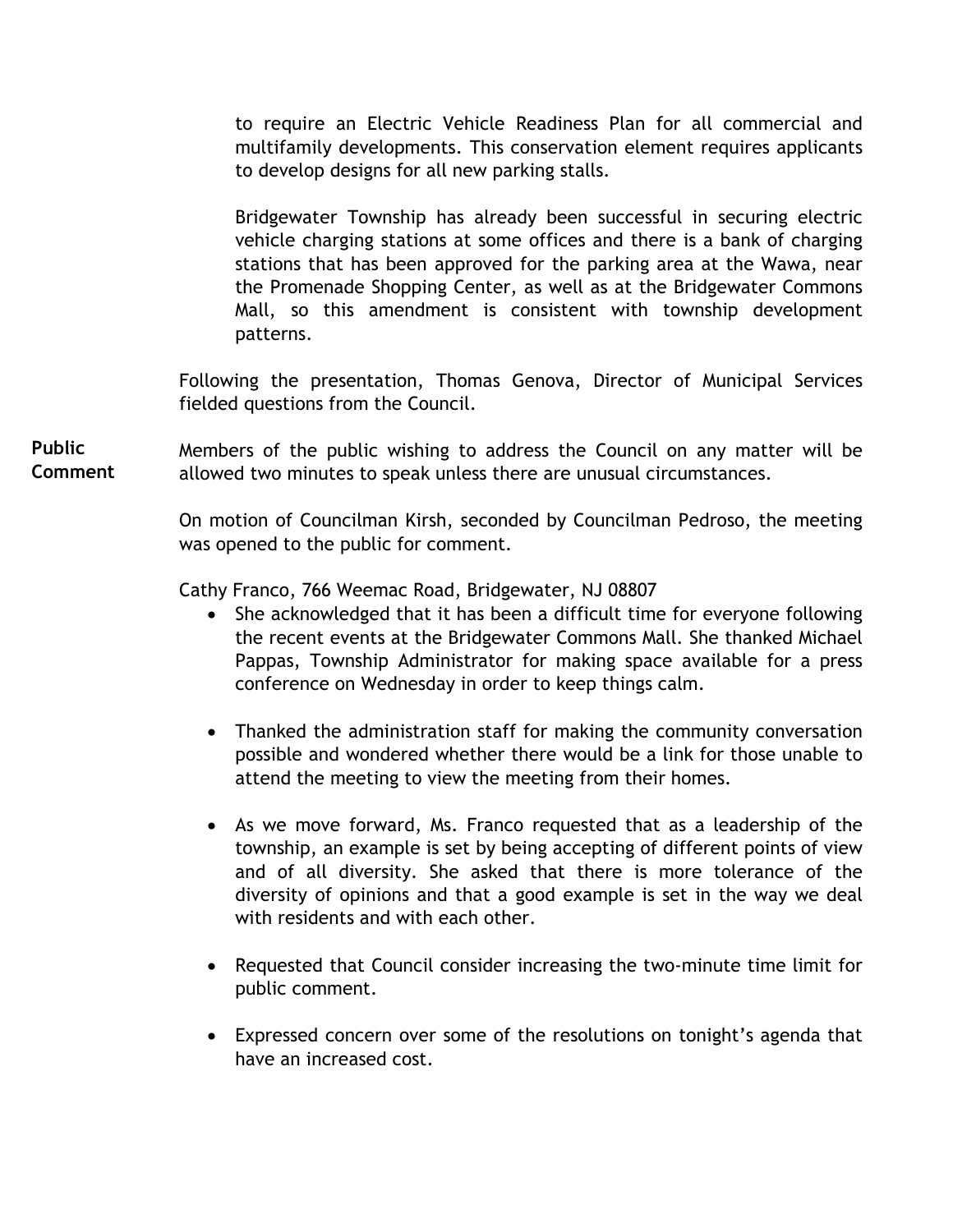to require an Electric Vehicle Readiness Plan for all commercial and multifamily developments. This conservation element requires applicants to develop designs for all new parking stalls.

Bridgewater Township has already been successful in securing electric vehicle charging stations at some offices and there is a bank of charging stations that has been approved for the parking area at the Wawa, near the Promenade Shopping Center, as well as at the Bridgewater Commons Mall, so this amendment is consistent with township development patterns.

Following the presentation, Thomas Genova, Director of Municipal Services fielded questions from the Council.

Members of the public wishing to address the Council on any matter will be allowed two minutes to speak unless there are unusual circumstances. **Public Comment** 

> On motion of Councilman Kirsh, seconded by Councilman Pedroso, the meeting was opened to the public for comment.

Cathy Franco, 766 Weemac Road, Bridgewater, NJ 08807

- She acknowledged that it has been a difficult time for everyone following the recent events at the Bridgewater Commons Mall. She thanked Michael Pappas, Township Administrator for making space available for a press conference on Wednesday in order to keep things calm.
- Thanked the administration staff for making the community conversation possible and wondered whether there would be a link for those unable to attend the meeting to view the meeting from their homes.
- As we move forward, Ms. Franco requested that as a leadership of the township, an example is set by being accepting of different points of view and of all diversity. She asked that there is more tolerance of the diversity of opinions and that a good example is set in the way we deal with residents and with each other.
- Requested that Council consider increasing the two-minute time limit for public comment.
- Expressed concern over some of the resolutions on tonight's agenda that have an increased cost.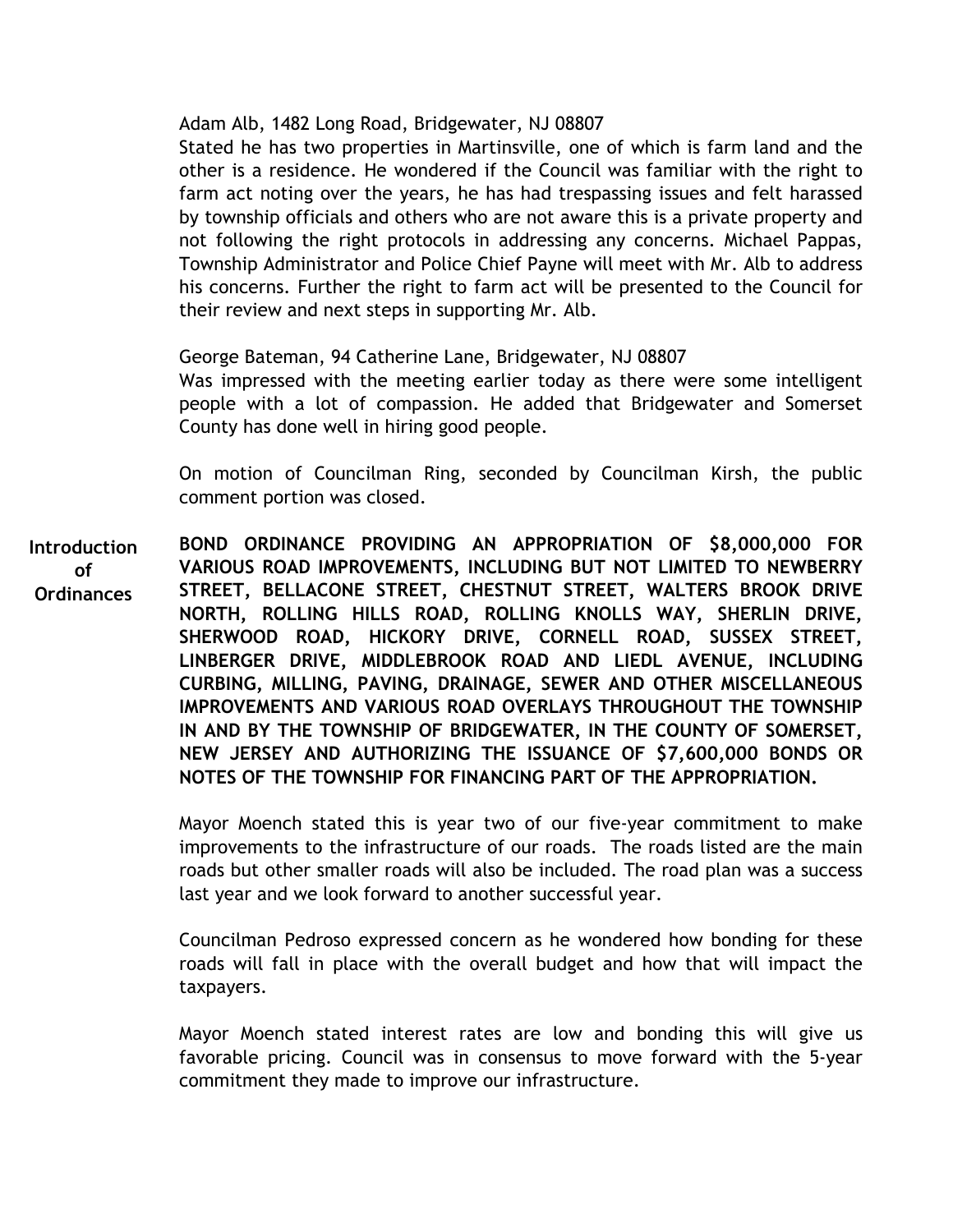Adam Alb, 1482 Long Road, Bridgewater, NJ 08807

Stated he has two properties in Martinsville, one of which is farm land and the other is a residence. He wondered if the Council was familiar with the right to farm act noting over the years, he has had trespassing issues and felt harassed by township officials and others who are not aware this is a private property and not following the right protocols in addressing any concerns. Michael Pappas, Township Administrator and Police Chief Payne will meet with Mr. Alb to address his concerns. Further the right to farm act will be presented to the Council for their review and next steps in supporting Mr. Alb.

George Bateman, 94 Catherine Lane, Bridgewater, NJ 08807

Was impressed with the meeting earlier today as there were some intelligent people with a lot of compassion. He added that Bridgewater and Somerset County has done well in hiring good people.

On motion of Councilman Ring, seconded by Councilman Kirsh, the public comment portion was closed.

**BOND ORDINANCE PROVIDING AN APPROPRIATION OF \$8,000,000 FOR VARIOUS ROAD IMPROVEMENTS, INCLUDING BUT NOT LIMITED TO NEWBERRY STREET, BELLACONE STREET, CHESTNUT STREET, WALTERS BROOK DRIVE NORTH, ROLLING HILLS ROAD, ROLLING KNOLLS WAY, SHERLIN DRIVE, SHERWOOD ROAD, HICKORY DRIVE, CORNELL ROAD, SUSSEX STREET, LINBERGER DRIVE, MIDDLEBROOK ROAD AND LIEDL AVENUE, INCLUDING CURBING, MILLING, PAVING, DRAINAGE, SEWER AND OTHER MISCELLANEOUS IMPROVEMENTS AND VARIOUS ROAD OVERLAYS THROUGHOUT THE TOWNSHIP IN AND BY THE TOWNSHIP OF BRIDGEWATER, IN THE COUNTY OF SOMERSET, NEW JERSEY AND AUTHORIZING THE ISSUANCE OF \$7,600,000 BONDS OR NOTES OF THE TOWNSHIP FOR FINANCING PART OF THE APPROPRIATION. Introduction of Ordinances** 

> Mayor Moench stated this is year two of our five-year commitment to make improvements to the infrastructure of our roads. The roads listed are the main roads but other smaller roads will also be included. The road plan was a success last year and we look forward to another successful year.

> Councilman Pedroso expressed concern as he wondered how bonding for these roads will fall in place with the overall budget and how that will impact the taxpayers.

> Mayor Moench stated interest rates are low and bonding this will give us favorable pricing. Council was in consensus to move forward with the 5-year commitment they made to improve our infrastructure.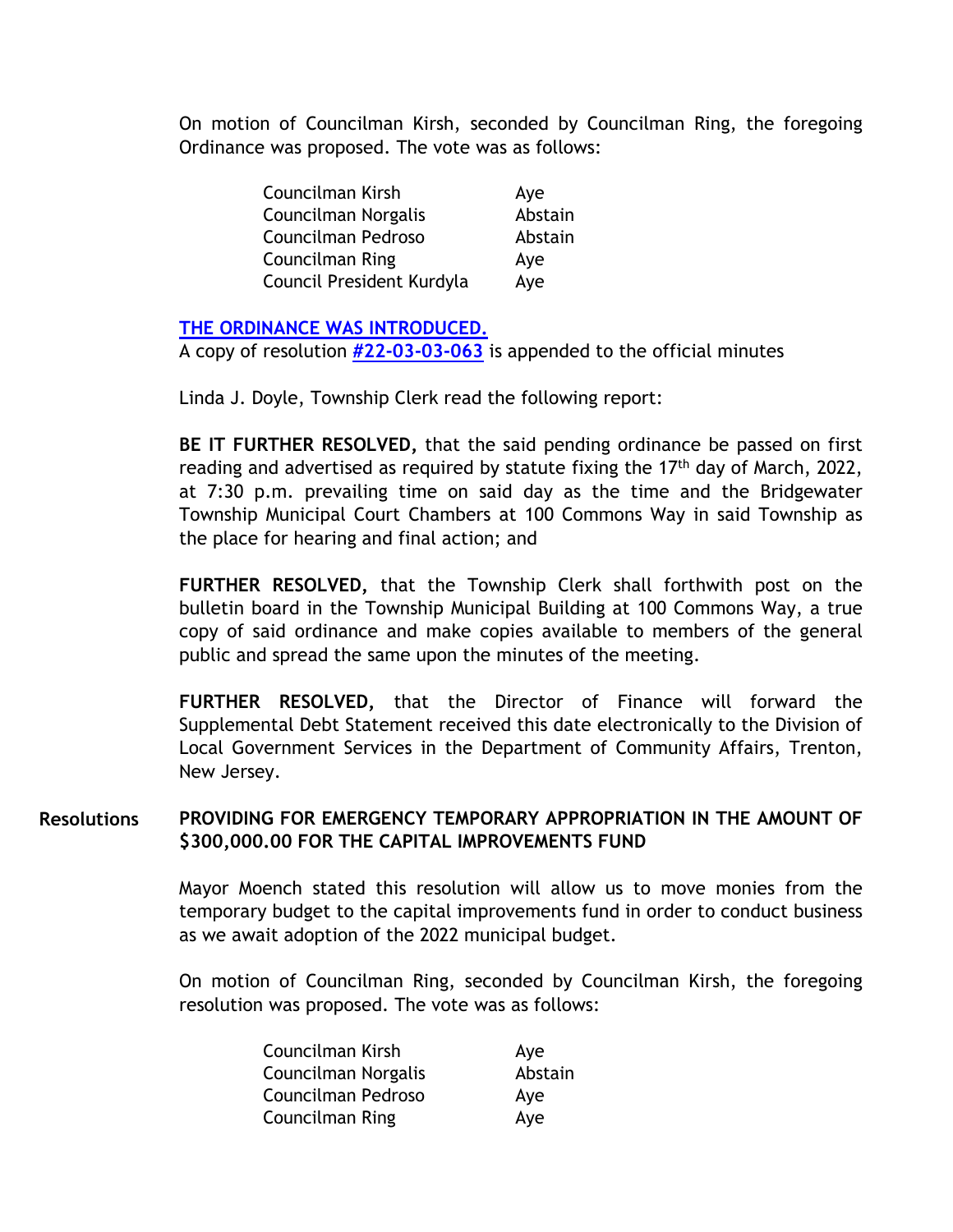On motion of Councilman Kirsh, seconded by Councilman Ring, the foregoing Ordinance was proposed. The vote was as follows:

| Councilman Kirsh          | Aye     |
|---------------------------|---------|
| Councilman Norgalis       | Abstain |
| Councilman Pedroso        | Abstain |
| <b>Councilman Ring</b>    | Aye     |
| Council President Kurdyla | Aye     |

## **[THE ORDINANCE WAS INTRODUCED.](https://www.bridgewaternj.gov/wp-content/uploads/2022/06/22-03-Bond-Ordinance-8-Mil.pdf)**

A copy of resolution **[#22-03-03-063](https://www.bridgewaternj.gov/wp-content/uploads/2022/06/22-03-03-063.pdf)** is appended to the official minutes

Linda J. Doyle, Township Clerk read the following report:

**BE IT FURTHER RESOLVED,** that the said pending ordinance be passed on first reading and advertised as required by statute fixing the  $17<sup>th</sup>$  day of March, 2022, at 7:30 p.m. prevailing time on said day as the time and the Bridgewater Township Municipal Court Chambers at 100 Commons Way in said Township as the place for hearing and final action; and

**FURTHER RESOLVED,** that the Township Clerk shall forthwith post on the bulletin board in the Township Municipal Building at 100 Commons Way, a true copy of said ordinance and make copies available to members of the general public and spread the same upon the minutes of the meeting.

**FURTHER RESOLVED,** that the Director of Finance will forward the Supplemental Debt Statement received this date electronically to the Division of Local Government Services in the Department of Community Affairs, Trenton, New Jersey.

#### **PROVIDING FOR EMERGENCY TEMPORARY APPROPRIATION IN THE AMOUNT OF \$300,000.00 FOR THE CAPITAL IMPROVEMENTS FUND Resolutions**

Mayor Moench stated this resolution will allow us to move monies from the temporary budget to the capital improvements fund in order to conduct business as we await adoption of the 2022 municipal budget.

On motion of Councilman Ring, seconded by Councilman Kirsh, the foregoing resolution was proposed. The vote was as follows:

| Councilman Kirsh       | Aye     |
|------------------------|---------|
| Councilman Norgalis    | Abstain |
| Councilman Pedroso     | Aye     |
| <b>Councilman Ring</b> | Aye     |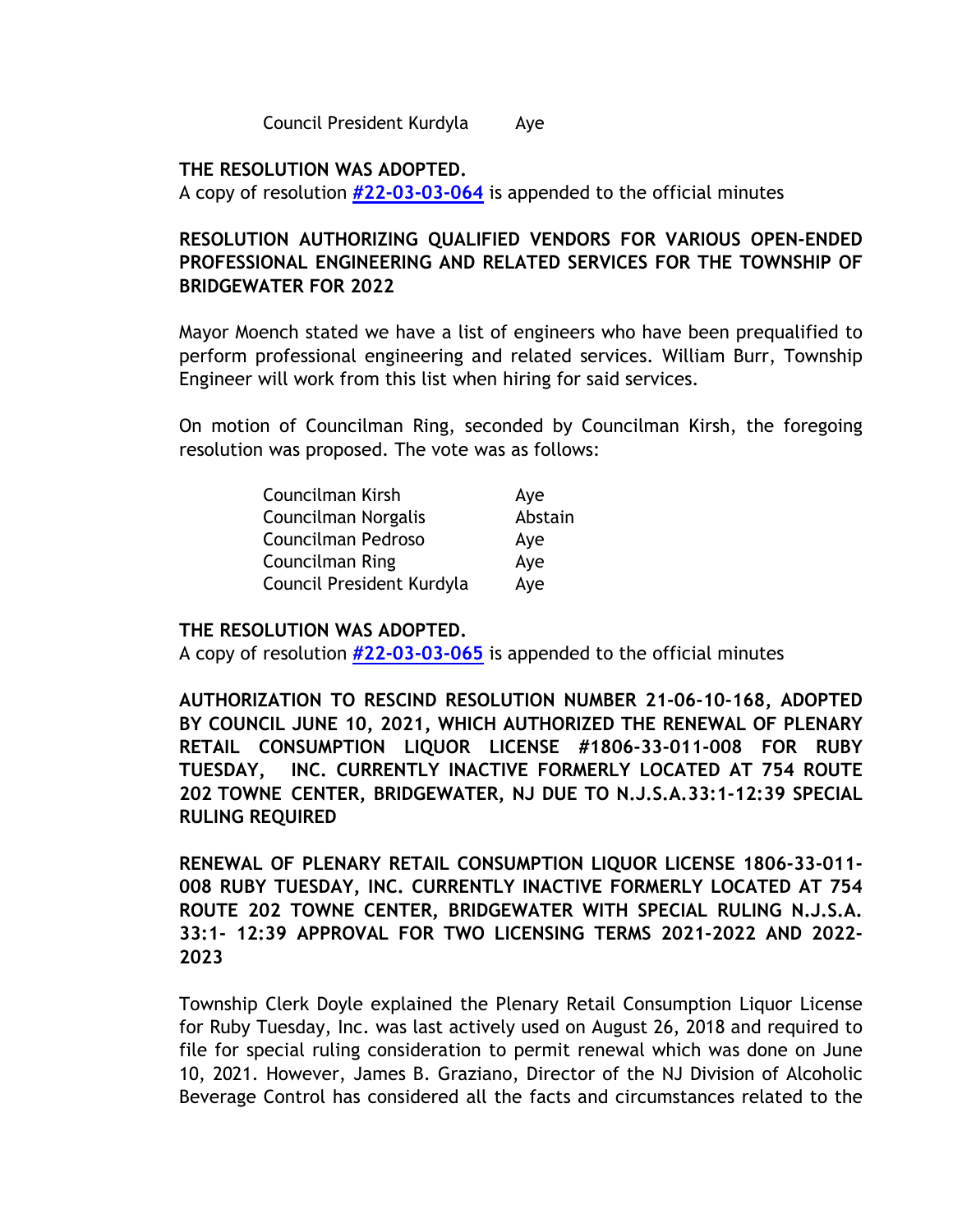Council President Kurdyla Aye

### **THE RESOLUTION WAS ADOPTED.**

A copy of resolution **[#22-03-03-064](https://www.bridgewaternj.gov/wp-content/uploads/2022/06/22-03-03-064.pdf)** is appended to the official minutes

## **RESOLUTION AUTHORIZING QUALIFIED VENDORS FOR VARIOUS OPEN-ENDED PROFESSIONAL ENGINEERING AND RELATED SERVICES FOR THE TOWNSHIP OF BRIDGEWATER FOR 2022**

Mayor Moench stated we have a list of engineers who have been prequalified to perform professional engineering and related services. William Burr, Township Engineer will work from this list when hiring for said services.

On motion of Councilman Ring, seconded by Councilman Kirsh, the foregoing resolution was proposed. The vote was as follows:

| Councilman Kirsh          | Aye     |
|---------------------------|---------|
| Councilman Norgalis       | Abstain |
| Councilman Pedroso        | Aye     |
| Councilman Ring           | Aye     |
| Council President Kurdyla | Aye     |

### **THE RESOLUTION WAS ADOPTED.**

A copy of resolution **[#22-03-03-065](https://www.bridgewaternj.gov/wp-content/uploads/2022/06/22-03-03-065.pdf)** is appended to the official minutes

**AUTHORIZATION TO RESCIND RESOLUTION NUMBER 21-06-10-168, ADOPTED BY COUNCIL JUNE 10, 2021, WHICH AUTHORIZED THE RENEWAL OF PLENARY RETAIL CONSUMPTION LIQUOR LICENSE #1806-33-011-008 FOR RUBY TUESDAY, INC. CURRENTLY INACTIVE FORMERLY LOCATED AT 754 ROUTE 202 TOWNE CENTER, BRIDGEWATER, NJ DUE TO N.J.S.A.33:1-12:39 SPECIAL RULING REQUIRED** 

**RENEWAL OF PLENARY RETAIL CONSUMPTION LIQUOR LICENSE 1806-33-011- 008 RUBY TUESDAY, INC. CURRENTLY INACTIVE FORMERLY LOCATED AT 754 ROUTE 202 TOWNE CENTER, BRIDGEWATER WITH SPECIAL RULING N.J.S.A. 33:1- 12:39 APPROVAL FOR TWO LICENSING TERMS 2021-2022 AND 2022- 2023** 

Township Clerk Doyle explained the Plenary Retail Consumption Liquor License for Ruby Tuesday, Inc. was last actively used on August 26, 2018 and required to file for special ruling consideration to permit renewal which was done on June 10, 2021. However, James B. Graziano, Director of the NJ Division of Alcoholic Beverage Control has considered all the facts and circumstances related to the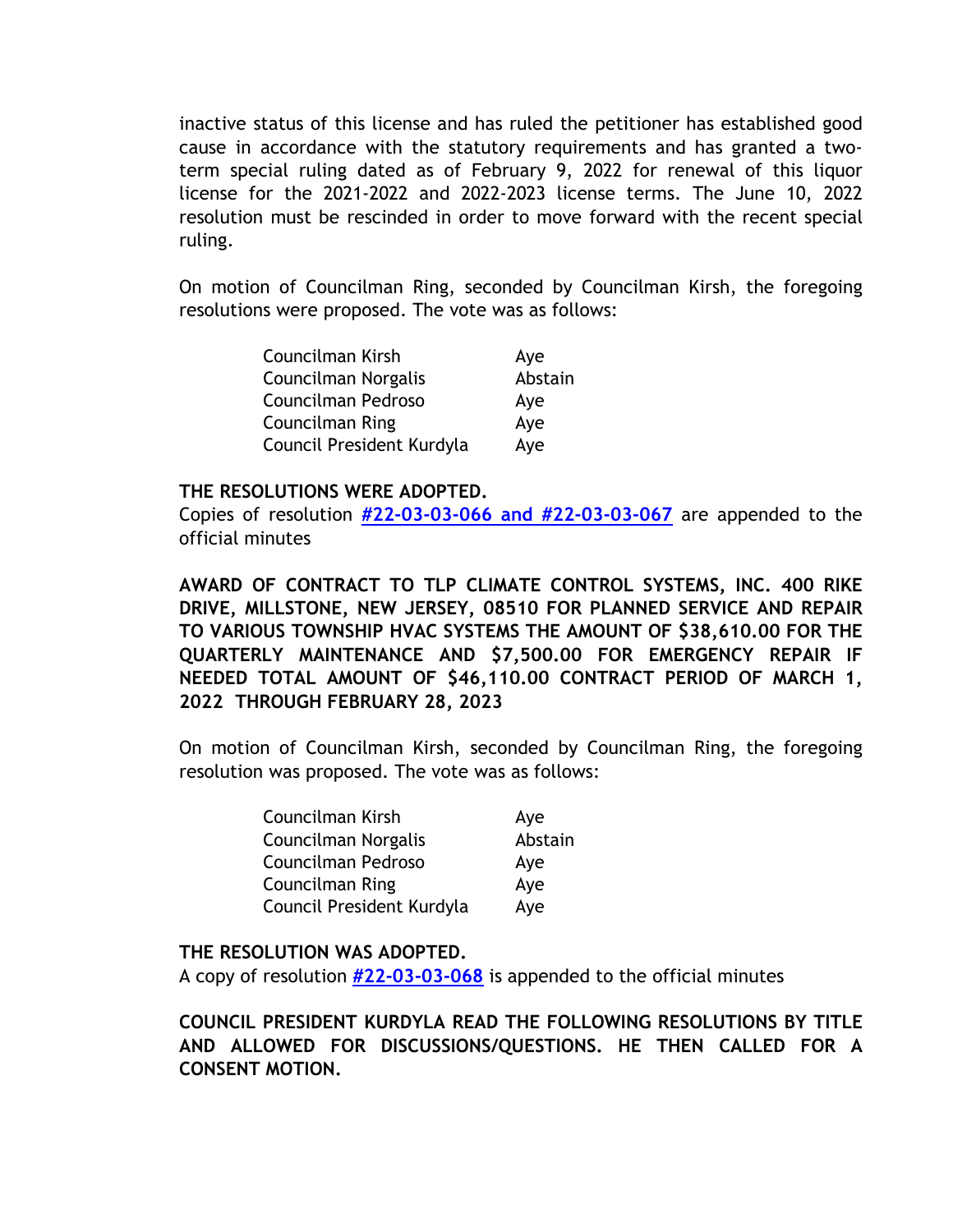inactive status of this license and has ruled the petitioner has established good cause in accordance with the statutory requirements and has granted a twoterm special ruling dated as of February 9, 2022 for renewal of this liquor license for the 2021-2022 and 2022-2023 license terms. The June 10, 2022 resolution must be rescinded in order to move forward with the recent special ruling.

On motion of Councilman Ring, seconded by Councilman Kirsh, the foregoing resolutions were proposed. The vote was as follows:

| Councilman Kirsh          | Aye     |
|---------------------------|---------|
| Councilman Norgalis       | Abstain |
| Councilman Pedroso        | Aye     |
| Councilman Ring           | Aye     |
| Council President Kurdyla | Aye     |

#### **THE RESOLUTIONS WERE ADOPTED.**

Copies of resolution **[#22-03-03-066 and #22-03-03-067](https://www.bridgewaternj.gov/wp-content/uploads/2022/06/22-03-03-066-thru-67.pdf)** are appended to the official minutes

**AWARD OF CONTRACT TO TLP CLIMATE CONTROL SYSTEMS, INC. 400 RIKE DRIVE, MILLSTONE, NEW JERSEY, 08510 FOR PLANNED SERVICE AND REPAIR TO VARIOUS TOWNSHIP HVAC SYSTEMS THE AMOUNT OF \$38,610.00 FOR THE QUARTERLY MAINTENANCE AND \$7,500.00 FOR EMERGENCY REPAIR IF NEEDED TOTAL AMOUNT OF \$46,110.00 CONTRACT PERIOD OF MARCH 1, 2022 THROUGH FEBRUARY 28, 2023** 

On motion of Councilman Kirsh, seconded by Councilman Ring, the foregoing resolution was proposed. The vote was as follows:

| Councilman Kirsh          | Aye     |
|---------------------------|---------|
| Councilman Norgalis       | Abstain |
| Councilman Pedroso        | Aye     |
| Councilman Ring           | Aye     |
| Council President Kurdyla | Aye     |

### **THE RESOLUTION WAS ADOPTED.**

A copy of resolution **[#22-03-03-068](https://www.bridgewaternj.gov/wp-content/uploads/2022/06/22-03-03-068.pdf)** is appended to the official minutes

**COUNCIL PRESIDENT KURDYLA READ THE FOLLOWING RESOLUTIONS BY TITLE AND ALLOWED FOR DISCUSSIONS/QUESTIONS. HE THEN CALLED FOR A CONSENT MOTION.**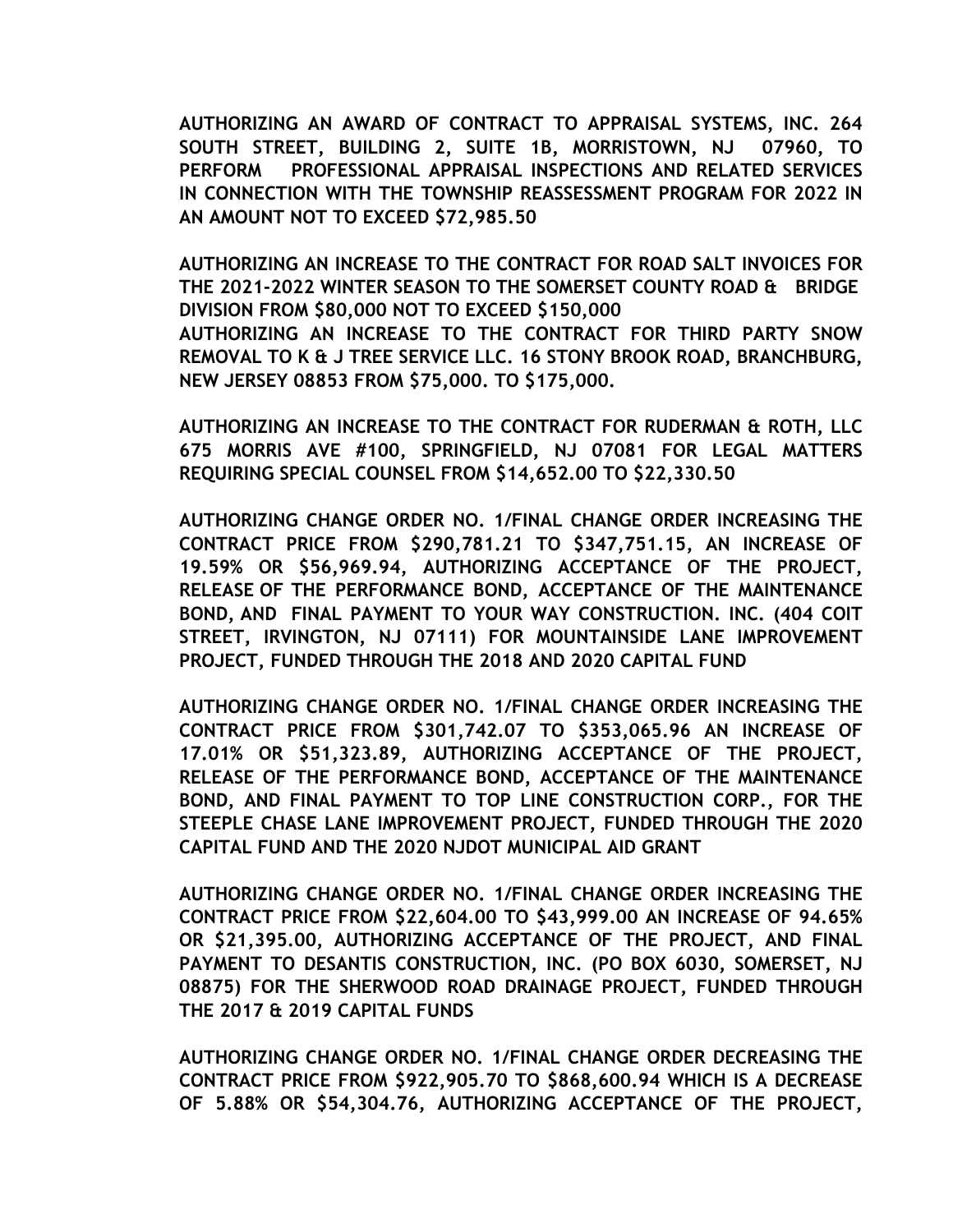**AUTHORIZING AN AWARD OF CONTRACT TO APPRAISAL SYSTEMS, INC. 264 SOUTH STREET, BUILDING 2, SUITE 1B, MORRISTOWN, NJ 07960, TO PERFORM PROFESSIONAL APPRAISAL INSPECTIONS AND RELATED SERVICES IN CONNECTION WITH THE TOWNSHIP REASSESSMENT PROGRAM FOR 2022 IN AN AMOUNT NOT TO EXCEED \$72,985.50** 

**AUTHORIZING AN INCREASE TO THE CONTRACT FOR ROAD SALT INVOICES FOR THE 2021-2022 WINTER SEASON TO THE SOMERSET COUNTY ROAD & BRIDGE DIVISION FROM \$80,000 NOT TO EXCEED \$150,000 AUTHORIZING AN INCREASE TO THE CONTRACT FOR THIRD PARTY SNOW REMOVAL TO K & J TREE SERVICE LLC. 16 STONY BROOK ROAD, BRANCHBURG, NEW JERSEY 08853 FROM \$75,000. TO \$175,000.** 

**AUTHORIZING AN INCREASE TO THE CONTRACT FOR RUDERMAN & ROTH, LLC 675 MORRIS AVE #100, SPRINGFIELD, NJ 07081 FOR LEGAL MATTERS REQUIRING SPECIAL COUNSEL FROM \$14,652.00 TO \$22,330.50** 

**AUTHORIZING CHANGE ORDER NO. 1/FINAL CHANGE ORDER INCREASING THE CONTRACT PRICE FROM \$290,781.21 TO \$347,751.15, AN INCREASE OF 19.59% OR \$56,969.94, AUTHORIZING ACCEPTANCE OF THE PROJECT, RELEASE OF THE PERFORMANCE BOND, ACCEPTANCE OF THE MAINTENANCE BOND, AND FINAL PAYMENT TO YOUR WAY CONSTRUCTION. INC. (404 COIT STREET, IRVINGTON, NJ 07111) FOR MOUNTAINSIDE LANE IMPROVEMENT PROJECT, FUNDED THROUGH THE 2018 AND 2020 CAPITAL FUND** 

**AUTHORIZING CHANGE ORDER NO. 1/FINAL CHANGE ORDER INCREASING THE CONTRACT PRICE FROM \$301,742.07 TO \$353,065.96 AN INCREASE OF 17.01% OR \$51,323.89, AUTHORIZING ACCEPTANCE OF THE PROJECT, RELEASE OF THE PERFORMANCE BOND, ACCEPTANCE OF THE MAINTENANCE BOND, AND FINAL PAYMENT TO TOP LINE CONSTRUCTION CORP., FOR THE STEEPLE CHASE LANE IMPROVEMENT PROJECT, FUNDED THROUGH THE 2020 CAPITAL FUND AND THE 2020 NJDOT MUNICIPAL AID GRANT** 

**AUTHORIZING CHANGE ORDER NO. 1/FINAL CHANGE ORDER INCREASING THE CONTRACT PRICE FROM \$22,604.00 TO \$43,999.00 AN INCREASE OF 94.65% OR \$21,395.00, AUTHORIZING ACCEPTANCE OF THE PROJECT, AND FINAL PAYMENT TO DESANTIS CONSTRUCTION, INC. (PO BOX 6030, SOMERSET, NJ 08875) FOR THE SHERWOOD ROAD DRAINAGE PROJECT, FUNDED THROUGH THE 2017 & 2019 CAPITAL FUNDS** 

**AUTHORIZING CHANGE ORDER NO. 1/FINAL CHANGE ORDER DECREASING THE CONTRACT PRICE FROM \$922,905.70 TO \$868,600.94 WHICH IS A DECREASE OF 5.88% OR \$54,304.76, AUTHORIZING ACCEPTANCE OF THE PROJECT,**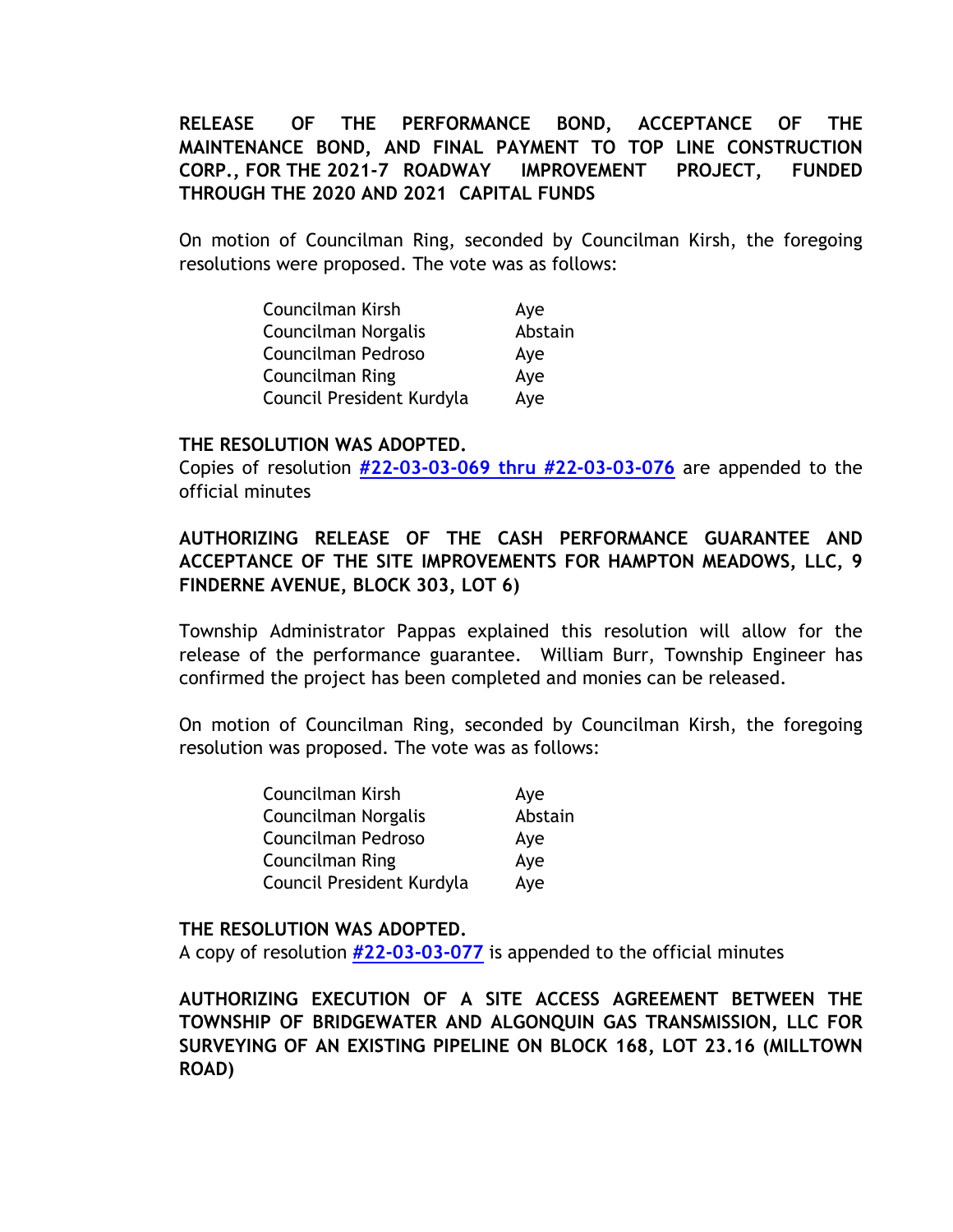## **RELEASE OF THE PERFORMANCE BOND, ACCEPTANCE OF THE MAINTENANCE BOND, AND FINAL PAYMENT TO TOP LINE CONSTRUCTION CORP., FOR THE 2021-7 ROADWAY IMPROVEMENT PROJECT, FUNDED THROUGH THE 2020 AND 2021 CAPITAL FUNDS**

On motion of Councilman Ring, seconded by Councilman Kirsh, the foregoing resolutions were proposed. The vote was as follows:

| Councilman Kirsh          | Aye     |
|---------------------------|---------|
| Councilman Norgalis       | Abstain |
| Councilman Pedroso        | Aye     |
| Councilman Ring           | Aye     |
| Council President Kurdyla | Aye     |

#### **THE RESOLUTION WAS ADOPTED.**

Copies of resolution **[#22-03-03-069 thru #22-03-03-076](https://www.bridgewaternj.gov/wp-content/uploads/2022/06/22-03-03-069-thru-76.pdf)** are appended to the official minutes

## **AUTHORIZING RELEASE OF THE CASH PERFORMANCE GUARANTEE AND ACCEPTANCE OF THE SITE IMPROVEMENTS FOR HAMPTON MEADOWS, LLC, 9 FINDERNE AVENUE, BLOCK 303, LOT 6)**

Township Administrator Pappas explained this resolution will allow for the release of the performance guarantee. William Burr, Township Engineer has confirmed the project has been completed and monies can be released.

On motion of Councilman Ring, seconded by Councilman Kirsh, the foregoing resolution was proposed. The vote was as follows:

| Councilman Kirsh          | Aye     |
|---------------------------|---------|
| Councilman Norgalis       | Abstain |
| Councilman Pedroso        | Aye     |
| Councilman Ring           | Aye     |
| Council President Kurdyla | Aye     |

#### **THE RESOLUTION WAS ADOPTED.**

A copy of resolution **[#22-03-03-077](https://www.bridgewaternj.gov/wp-content/uploads/2022/06/22-03-03-077.pdf)** is appended to the official minutes

**AUTHORIZING EXECUTION OF A SITE ACCESS AGREEMENT BETWEEN THE TOWNSHIP OF BRIDGEWATER AND ALGONQUIN GAS TRANSMISSION, LLC FOR SURVEYING OF AN EXISTING PIPELINE ON BLOCK 168, LOT 23.16 (MILLTOWN ROAD)**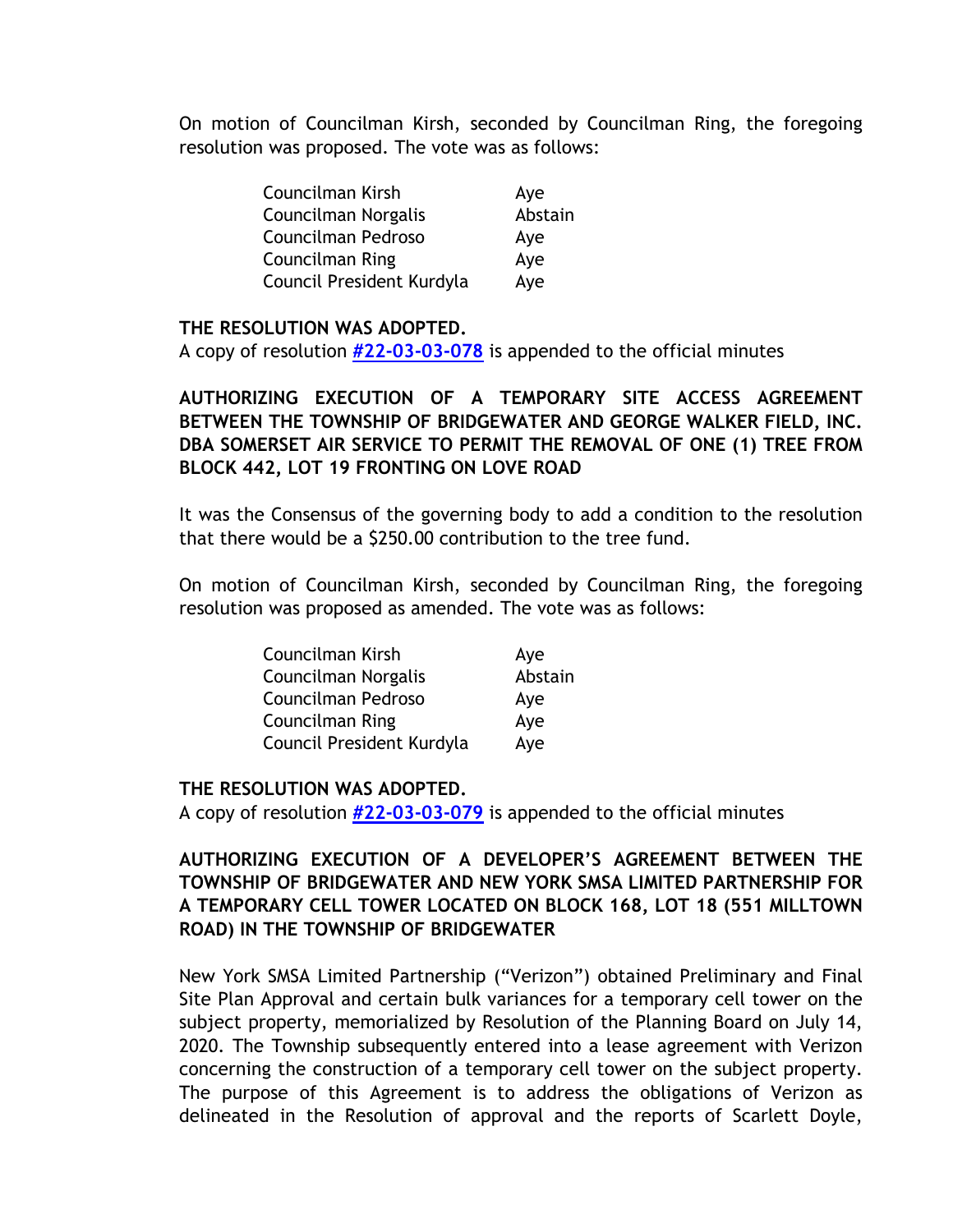On motion of Councilman Kirsh, seconded by Councilman Ring, the foregoing resolution was proposed. The vote was as follows:

| Councilman Kirsh          | Aye     |
|---------------------------|---------|
| Councilman Norgalis       | Abstain |
| Councilman Pedroso        | Aye     |
| Councilman Ring           | Aye     |
| Council President Kurdyla | Aye     |

## **THE RESOLUTION WAS ADOPTED.**

A copy of resolution **[#22-03-03-078](https://www.bridgewaternj.gov/wp-content/uploads/2022/06/22-03-03-078.pdf)** is appended to the official minutes

# **AUTHORIZING EXECUTION OF A TEMPORARY SITE ACCESS AGREEMENT BETWEEN THE TOWNSHIP OF BRIDGEWATER AND GEORGE WALKER FIELD, INC. DBA SOMERSET AIR SERVICE TO PERMIT THE REMOVAL OF ONE (1) TREE FROM BLOCK 442, LOT 19 FRONTING ON LOVE ROAD**

It was the Consensus of the governing body to add a condition to the resolution that there would be a \$250.00 contribution to the tree fund.

On motion of Councilman Kirsh, seconded by Councilman Ring, the foregoing resolution was proposed as amended. The vote was as follows:

| Councilman Kirsh          | Aye     |
|---------------------------|---------|
| Councilman Norgalis       | Abstain |
| Councilman Pedroso        | Aye     |
| <b>Councilman Ring</b>    | Aye     |
| Council President Kurdyla | Aye     |

## **THE RESOLUTION WAS ADOPTED.**

A copy of resolution **[#22-03-03-079](https://www.bridgewaternj.gov/wp-content/uploads/2022/06/22-03-03-079.pdf)** is appended to the official minutes

## **AUTHORIZING EXECUTION OF A DEVELOPER'S AGREEMENT BETWEEN THE TOWNSHIP OF BRIDGEWATER AND NEW YORK SMSA LIMITED PARTNERSHIP FOR A TEMPORARY CELL TOWER LOCATED ON BLOCK 168, LOT 18 (551 MILLTOWN ROAD) IN THE TOWNSHIP OF BRIDGEWATER**

New York SMSA Limited Partnership ("Verizon") obtained Preliminary and Final Site Plan Approval and certain bulk variances for a temporary cell tower on the subject property, memorialized by Resolution of the Planning Board on July 14, 2020. The Township subsequently entered into a lease agreement with Verizon concerning the construction of a temporary cell tower on the subject property. The purpose of this Agreement is to address the obligations of Verizon as delineated in the Resolution of approval and the reports of Scarlett Doyle,